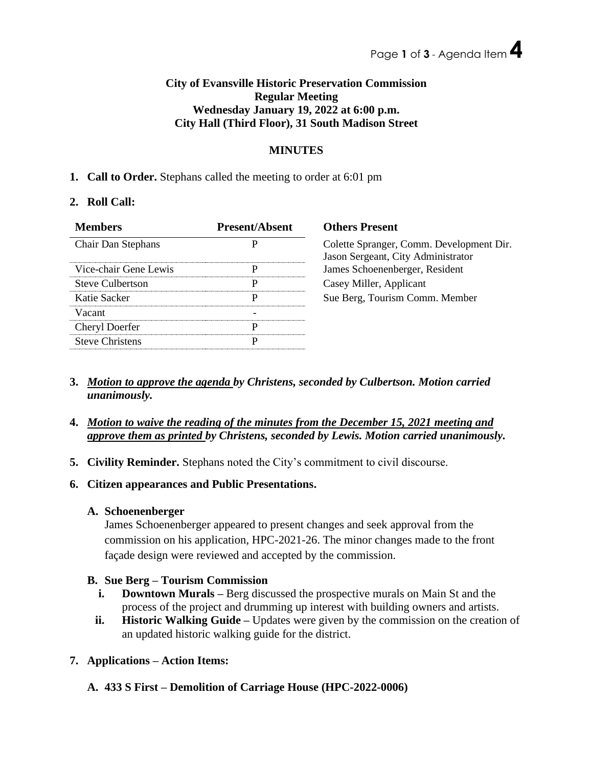## **City of Evansville Historic Preservation Commission Regular Meeting Wednesday January 19, 2022 at 6:00 p.m. City Hall (Third Floor), 31 South Madison Street**

### **MINUTES**

### **1. Call to Order.** Stephans called the meeting to order at 6:01 pm

### **2. Roll Call:**

| <b>Members</b>          | <b>Present/Absent</b> | <b>Others Present</b>                                                          |
|-------------------------|-----------------------|--------------------------------------------------------------------------------|
| Chair Dan Stephans      | D                     | Colette Spranger, Comm. Development Dir.<br>Jason Sergeant, City Administrator |
| Vice-chair Gene Lewis   |                       | James Schoenenberger, Resident                                                 |
| <b>Steve Culbertson</b> | р                     | Casey Miller, Applicant                                                        |
| Katie Sacker            | р                     | Sue Berg, Tourism Comm. Member                                                 |
| Vacant                  |                       |                                                                                |
| <b>Cheryl Doerfer</b>   | D                     |                                                                                |
| <b>Steve Christens</b>  | D                     |                                                                                |

- **3.** *Motion to approve the agenda by Christens, seconded by Culbertson. Motion carried unanimously.*
- **4.** *Motion to waive the reading of the minutes from the December 15, 2021 meeting and approve them as printed by Christens, seconded by Lewis. Motion carried unanimously.*
- **5. Civility Reminder.** Stephans noted the City's commitment to civil discourse.
- **6. Citizen appearances and Public Presentations.**
	- **A. Schoenenberger**

James Schoenenberger appeared to present changes and seek approval from the commission on his application, HPC-2021-26. The minor changes made to the front façade design were reviewed and accepted by the commission.

# **B. Sue Berg – Tourism Commission**

- **i. Downtown Murals** Berg discussed the prospective murals on Main St and the process of the project and drumming up interest with building owners and artists.
- **ii. Historic Walking Guide –** Updates were given by the commission on the creation of an updated historic walking guide for the district.

# **7. Applications – Action Items:**

**A. 433 S First – Demolition of Carriage House (HPC-2022-0006)**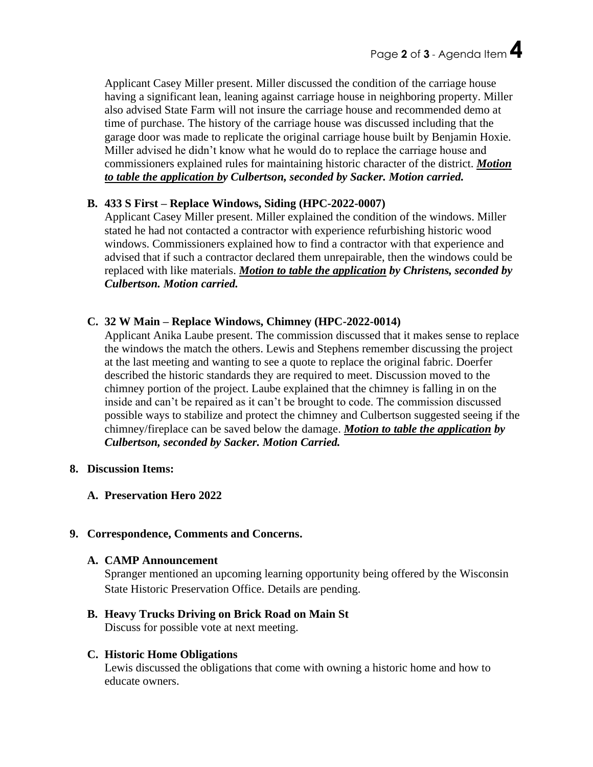Applicant Casey Miller present. Miller discussed the condition of the carriage house having a significant lean, leaning against carriage house in neighboring property. Miller also advised State Farm will not insure the carriage house and recommended demo at time of purchase. The history of the carriage house was discussed including that the garage door was made to replicate the original carriage house built by Benjamin Hoxie. Miller advised he didn't know what he would do to replace the carriage house and commissioners explained rules for maintaining historic character of the district. *Motion to table the application by Culbertson, seconded by Sacker. Motion carried.*

### **B. 433 S First – Replace Windows, Siding (HPC-2022-0007)**

Applicant Casey Miller present. Miller explained the condition of the windows. Miller stated he had not contacted a contractor with experience refurbishing historic wood windows. Commissioners explained how to find a contractor with that experience and advised that if such a contractor declared them unrepairable, then the windows could be replaced with like materials. *Motion to table the application by Christens, seconded by Culbertson. Motion carried.*

### **C. 32 W Main – Replace Windows, Chimney (HPC-2022-0014)**

Applicant Anika Laube present. The commission discussed that it makes sense to replace the windows the match the others. Lewis and Stephens remember discussing the project at the last meeting and wanting to see a quote to replace the original fabric. Doerfer described the historic standards they are required to meet. Discussion moved to the chimney portion of the project. Laube explained that the chimney is falling in on the inside and can't be repaired as it can't be brought to code. The commission discussed possible ways to stabilize and protect the chimney and Culbertson suggested seeing if the chimney/fireplace can be saved below the damage. *Motion to table the application by Culbertson, seconded by Sacker. Motion Carried.*

### **8. Discussion Items:**

**A. Preservation Hero 2022**

# **9. Correspondence, Comments and Concerns.**

### **A. CAMP Announcement**

Spranger mentioned an upcoming learning opportunity being offered by the Wisconsin State Historic Preservation Office. Details are pending.

**B. Heavy Trucks Driving on Brick Road on Main St** Discuss for possible vote at next meeting.

### **C. Historic Home Obligations**

Lewis discussed the obligations that come with owning a historic home and how to educate owners.